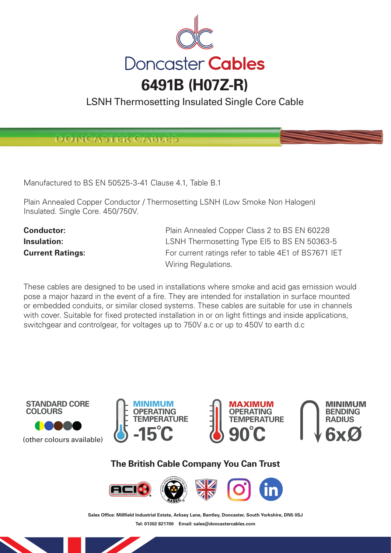

LSNH Thermosetting Insulated Single Core Cable

DOINCASTER CAB

Manufactured to BS EN 50525-3-41 Clause 4.1, Table B.1

Plain Annealed Copper Conductor / Thermosetting LSNH (Low Smoke Non Halogen) Insulated. Single Core. 450/750V.

**Conductor:** Plain Annealed Copper Class 2 to BS EN 60228 **Insulation: Insulation: LSNH Thermosetting Type EI5 to BS EN 50363-5 Current Ratings:** For current ratings refer to table 4E1 of BS7671 IET Wiring Regulations.

These cables are designed to be used in installations where smoke and acid gas emission would pose a major hazard in the event of a fire. They are intended for installation in surface mounted or embedded conduits, or similar closed systems. These cables are suitable for use in channels with cover. Suitable for fixed protected installation in or on light fittings and inside applications, switchgear and controlgear, for voltages up to 750V a.c or up to 450V to earth d.c









**The British Cable Company You Can Trust**



Sales Office: Millfield Industrial Estate, Arksey Lane, Bentley, Doncaster, South Yorkshire, DN5 0SJ **Tel: 01302 821700 Email: sales@doncastercables.com**